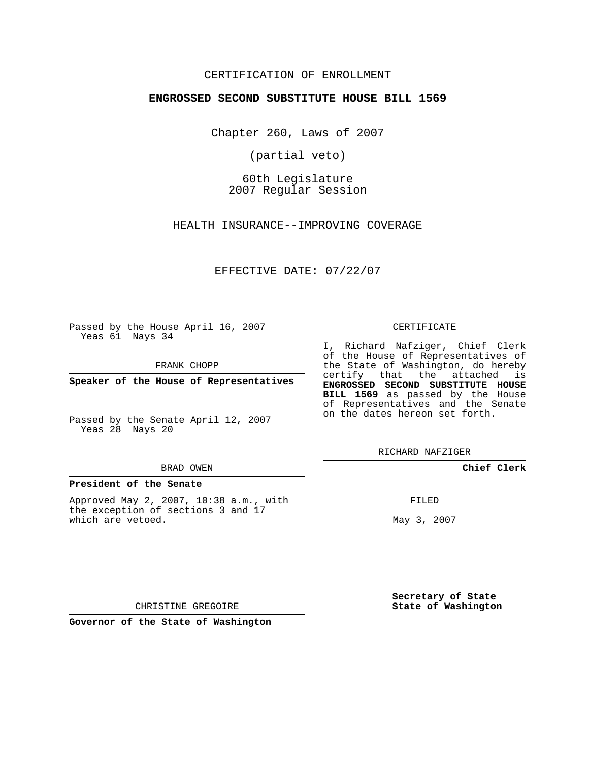# CERTIFICATION OF ENROLLMENT

## **ENGROSSED SECOND SUBSTITUTE HOUSE BILL 1569**

Chapter 260, Laws of 2007

(partial veto)

60th Legislature 2007 Regular Session

HEALTH INSURANCE--IMPROVING COVERAGE

EFFECTIVE DATE: 07/22/07

Passed by the House April 16, 2007 Yeas 61 Nays 34

FRANK CHOPP

**Speaker of the House of Representatives**

Passed by the Senate April 12, 2007 Yeas 28 Nays 20

#### BRAD OWEN

## **President of the Senate**

Approved May 2, 2007, 10:38 a.m., with the exception of sections 3 and 17 which are vetoed.

#### CERTIFICATE

I, Richard Nafziger, Chief Clerk of the House of Representatives of the State of Washington, do hereby certify that the attached is **ENGROSSED SECOND SUBSTITUTE HOUSE BILL 1569** as passed by the House of Representatives and the Senate on the dates hereon set forth.

RICHARD NAFZIGER

**Chief Clerk**

FILED

May 3, 2007

**Secretary of State State of Washington**

CHRISTINE GREGOIRE

**Governor of the State of Washington**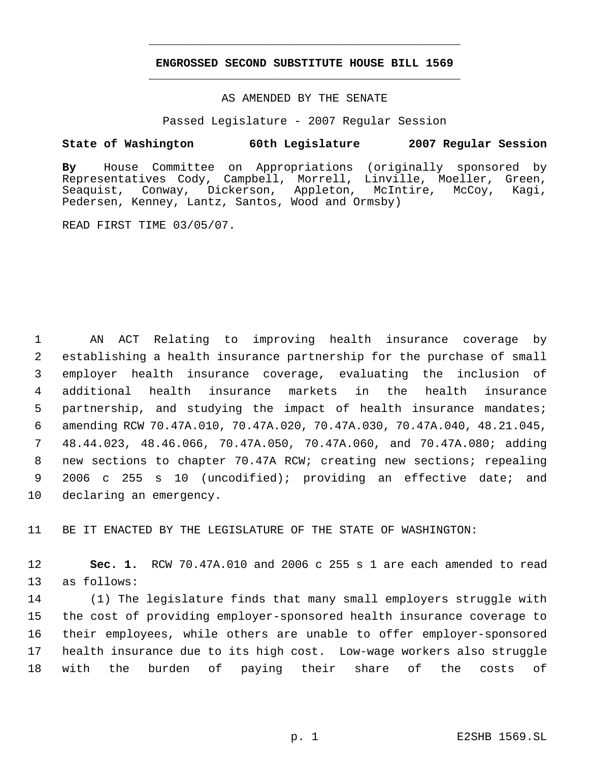# **ENGROSSED SECOND SUBSTITUTE HOUSE BILL 1569** \_\_\_\_\_\_\_\_\_\_\_\_\_\_\_\_\_\_\_\_\_\_\_\_\_\_\_\_\_\_\_\_\_\_\_\_\_\_\_\_\_\_\_\_\_

\_\_\_\_\_\_\_\_\_\_\_\_\_\_\_\_\_\_\_\_\_\_\_\_\_\_\_\_\_\_\_\_\_\_\_\_\_\_\_\_\_\_\_\_\_

## AS AMENDED BY THE SENATE

Passed Legislature - 2007 Regular Session

# **State of Washington 60th Legislature 2007 Regular Session**

**By** House Committee on Appropriations (originally sponsored by Representatives Cody, Campbell, Morrell, Linville, Moeller, Green, Seaquist, Conway, Dickerson, Appleton, McIntire, McCoy, Kagi, Pedersen, Kenney, Lantz, Santos, Wood and Ormsby)

READ FIRST TIME 03/05/07.

 AN ACT Relating to improving health insurance coverage by establishing a health insurance partnership for the purchase of small employer health insurance coverage, evaluating the inclusion of additional health insurance markets in the health insurance partnership, and studying the impact of health insurance mandates; amending RCW 70.47A.010, 70.47A.020, 70.47A.030, 70.47A.040, 48.21.045, 48.44.023, 48.46.066, 70.47A.050, 70.47A.060, and 70.47A.080; adding new sections to chapter 70.47A RCW; creating new sections; repealing 2006 c 255 s 10 (uncodified); providing an effective date; and declaring an emergency.

11 BE IT ENACTED BY THE LEGISLATURE OF THE STATE OF WASHINGTON:

12 **Sec. 1.** RCW 70.47A.010 and 2006 c 255 s 1 are each amended to read 13 as follows:

 (1) The legislature finds that many small employers struggle with the cost of providing employer-sponsored health insurance coverage to their employees, while others are unable to offer employer-sponsored health insurance due to its high cost. Low-wage workers also struggle with the burden of paying their share of the costs of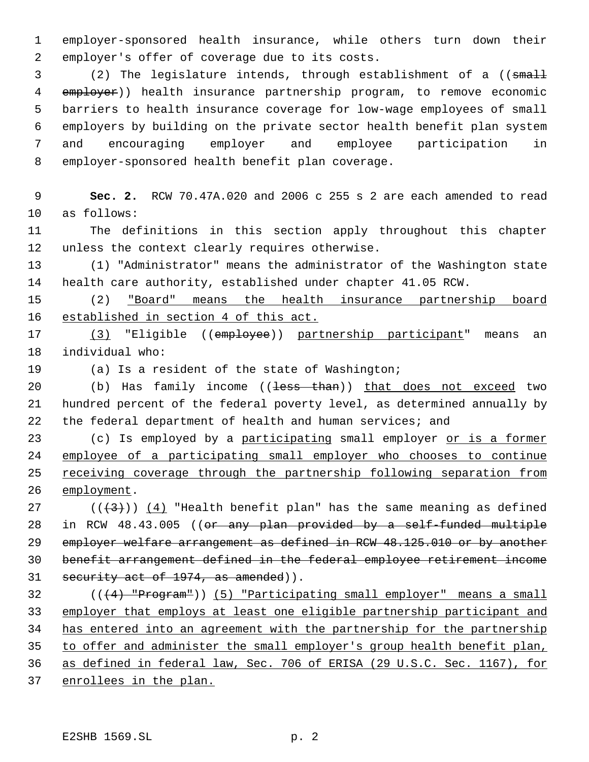employer-sponsored health insurance, while others turn down their employer's offer of coverage due to its costs.

3 (2) The legislature intends, through establishment of a ((small 4 employer)) health insurance partnership program, to remove economic barriers to health insurance coverage for low-wage employees of small employers by building on the private sector health benefit plan system and encouraging employer and employee participation in employer-sponsored health benefit plan coverage.

 **Sec. 2.** RCW 70.47A.020 and 2006 c 255 s 2 are each amended to read as follows:

 The definitions in this section apply throughout this chapter unless the context clearly requires otherwise.

 (1) "Administrator" means the administrator of the Washington state health care authority, established under chapter 41.05 RCW.

 (2) "Board" means the health insurance partnership board established in section 4 of this act.

 (3) "Eligible ((employee)) partnership participant" means an individual who:

(a) Is a resident of the state of Washington;

20 (b) Has family income ((<del>less than</del>)) that does not exceed two hundred percent of the federal poverty level, as determined annually by the federal department of health and human services; and

23 (c) Is employed by a participating small employer or is a former employee of a participating small employer who chooses to continue 25 receiving coverage through the partnership following separation from 26 employment.

27 ( $(\frac{43}{})$ ) (4) "Health benefit plan" has the same meaning as defined in RCW 48.43.005 ((or any plan provided by a self-funded multiple 29 employer welfare arrangement as defined in RCW 48.125.010 or by another benefit arrangement defined in the federal employee retirement income 31 security act of 1974, as amended)).

 (((4) "Program")) (5) "Participating small employer" means a small employer that employs at least one eligible partnership participant and has entered into an agreement with the partnership for the partnership to offer and administer the small employer's group health benefit plan, as defined in federal law, Sec. 706 of ERISA (29 U.S.C. Sec. 1167), for enrollees in the plan.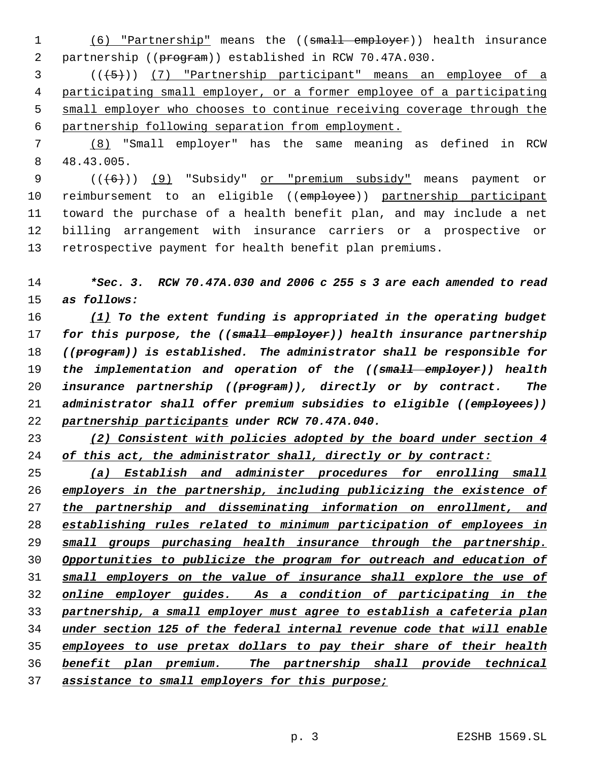1 (6) "Partnership" means the ((small employer)) health insurance partnership ((program)) established in RCW 70.47A.030.

 (((5))) (7) "Partnership participant" means an employee of a participating small employer, or a former employee of a participating small employer who chooses to continue receiving coverage through the partnership following separation from employment.

 (8) "Small employer" has the same meaning as defined in RCW 48.43.005.

 $((\{6\})$  (9) "Subsidy" or "premium subsidy" means payment or reimbursement to an eligible ((employee)) partnership participant toward the purchase of a health benefit plan, and may include a net billing arrangement with insurance carriers or a prospective or retrospective payment for health benefit plan premiums.

 *\*Sec. 3. RCW 70.47A.030 and 2006 c 255 s 3 are each amended to read as follows:*

 *(1) To the extent funding is appropriated in the operating budget for this purpose, the ((small employer)) health insurance partnership ((program)) is established. The administrator shall be responsible for the implementation and operation of the ((small employer)) health insurance partnership ((program)), directly or by contract. The administrator shall offer premium subsidies to eligible ((employees)) partnership participants under RCW 70.47A.040.*

 *(2) Consistent with policies adopted by the board under section 4 of this act, the administrator shall, directly or by contract:*

 *(a) Establish and administer procedures for enrolling small employers in the partnership, including publicizing the existence of the partnership and disseminating information on enrollment, and establishing rules related to minimum participation of employees in small groups purchasing health insurance through the partnership. Opportunities to publicize the program for outreach and education of small employers on the value of insurance shall explore the use of online employer guides. As a condition of participating in the partnership, a small employer must agree to establish a cafeteria plan under section 125 of the federal internal revenue code that will enable employees to use pretax dollars to pay their share of their health benefit plan premium. The partnership shall provide technical assistance to small employers for this purpose;*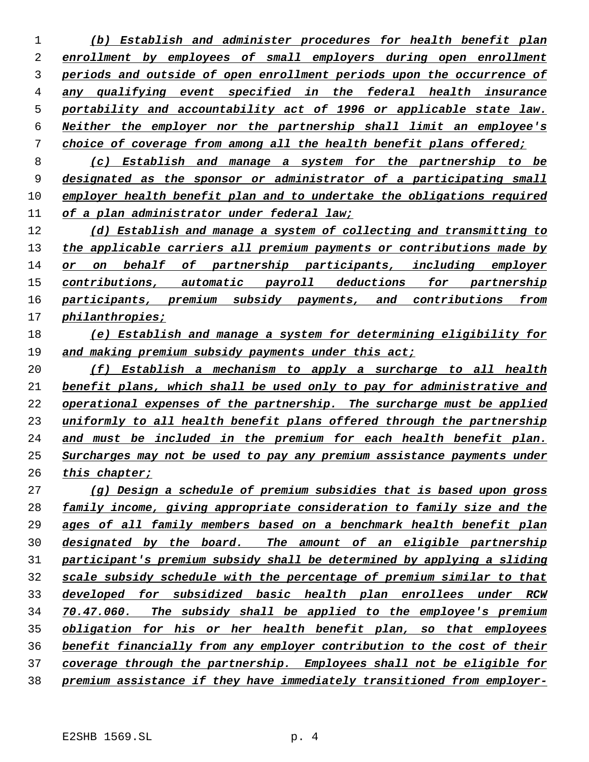*(b) Establish and administer procedures for health benefit plan enrollment by employees of small employers during open enrollment periods and outside of open enrollment periods upon the occurrence of any qualifying event specified in the federal health insurance portability and accountability act of 1996 or applicable state law. Neither the employer nor the partnership shall limit an employee's choice of coverage from among all the health benefit plans offered;*

 *(c) Establish and manage a system for the partnership to be designated as the sponsor or administrator of a participating small employer health benefit plan and to undertake the obligations required of a plan administrator under federal law;*

 *(d) Establish and manage a system of collecting and transmitting to the applicable carriers all premium payments or contributions made by or on behalf of partnership participants, including employer contributions, automatic payroll deductions for partnership participants, premium subsidy payments, and contributions from philanthropies;*

# *(e) Establish and manage a system for determining eligibility for and making premium subsidy payments under this act;*

 *(f) Establish a mechanism to apply a surcharge to all health benefit plans, which shall be used only to pay for administrative and operational expenses of the partnership. The surcharge must be applied uniformly to all health benefit plans offered through the partnership and must be included in the premium for each health benefit plan. Surcharges may not be used to pay any premium assistance payments under this chapter;*

 *(g) Design a schedule of premium subsidies that is based upon gross family income, giving appropriate consideration to family size and the ages of all family members based on a benchmark health benefit plan designated by the board. The amount of an eligible partnership participant's premium subsidy shall be determined by applying a sliding scale subsidy schedule with the percentage of premium similar to that developed for subsidized basic health plan enrollees under RCW 70.47.060. The subsidy shall be applied to the employee's premium obligation for his or her health benefit plan, so that employees benefit financially from any employer contribution to the cost of their coverage through the partnership. Employees shall not be eligible for premium assistance if they have immediately transitioned from employer-*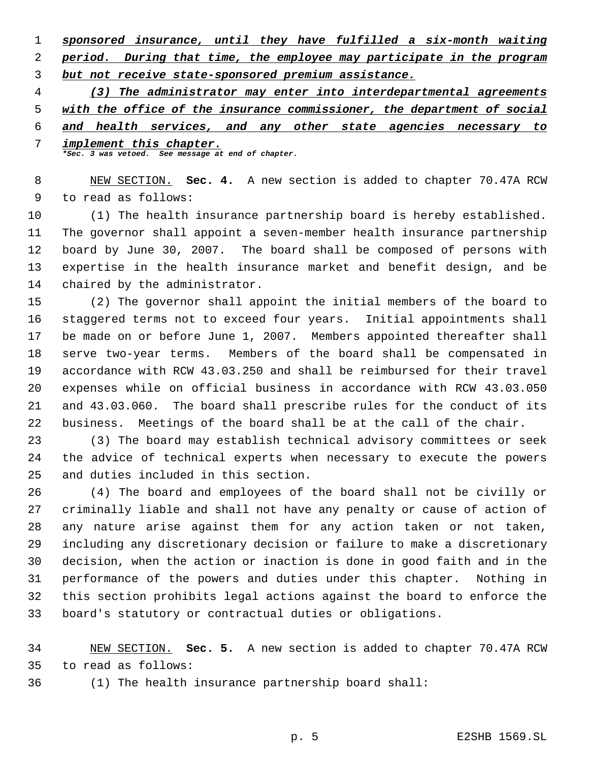*sponsored insurance, until they have fulfilled a six-month waiting period. During that time, the employee may participate in the program*

*but not receive state-sponsored premium assistance.*

*(3) The administrator may enter into interdepartmental agreements*

*with the office of the insurance commissioner, the department of social*

*and health services, and any other state agencies necessary to*

 *implement this chapter. \*Sec. 3 was vetoed. See message at end of chapter.*

 NEW SECTION. **Sec. 4.** A new section is added to chapter 70.47A RCW to read as follows:

 (1) The health insurance partnership board is hereby established. The governor shall appoint a seven-member health insurance partnership board by June 30, 2007. The board shall be composed of persons with expertise in the health insurance market and benefit design, and be chaired by the administrator.

 (2) The governor shall appoint the initial members of the board to staggered terms not to exceed four years. Initial appointments shall be made on or before June 1, 2007. Members appointed thereafter shall serve two-year terms. Members of the board shall be compensated in accordance with RCW 43.03.250 and shall be reimbursed for their travel expenses while on official business in accordance with RCW 43.03.050 and 43.03.060. The board shall prescribe rules for the conduct of its business. Meetings of the board shall be at the call of the chair.

 (3) The board may establish technical advisory committees or seek the advice of technical experts when necessary to execute the powers and duties included in this section.

 (4) The board and employees of the board shall not be civilly or criminally liable and shall not have any penalty or cause of action of any nature arise against them for any action taken or not taken, including any discretionary decision or failure to make a discretionary decision, when the action or inaction is done in good faith and in the performance of the powers and duties under this chapter. Nothing in this section prohibits legal actions against the board to enforce the board's statutory or contractual duties or obligations.

 NEW SECTION. **Sec. 5.** A new section is added to chapter 70.47A RCW to read as follows:

(1) The health insurance partnership board shall: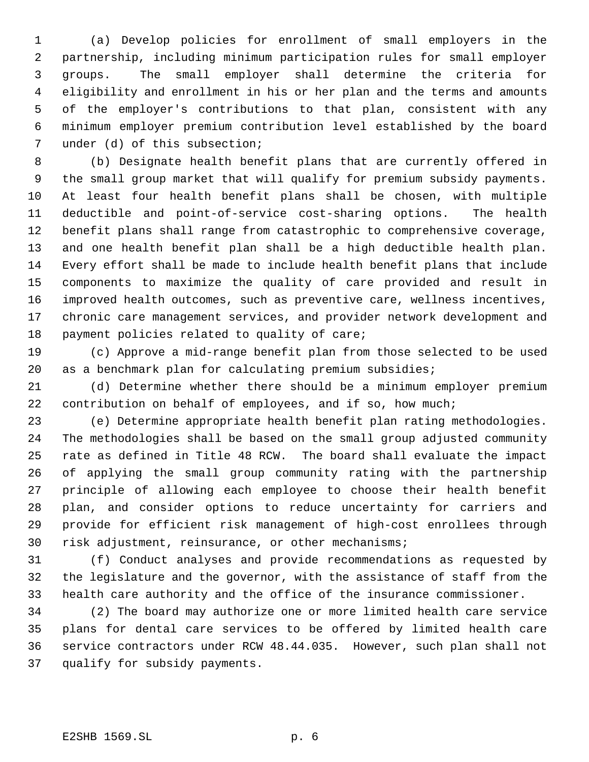(a) Develop policies for enrollment of small employers in the partnership, including minimum participation rules for small employer groups. The small employer shall determine the criteria for eligibility and enrollment in his or her plan and the terms and amounts of the employer's contributions to that plan, consistent with any minimum employer premium contribution level established by the board under (d) of this subsection;

 (b) Designate health benefit plans that are currently offered in the small group market that will qualify for premium subsidy payments. At least four health benefit plans shall be chosen, with multiple deductible and point-of-service cost-sharing options. The health benefit plans shall range from catastrophic to comprehensive coverage, and one health benefit plan shall be a high deductible health plan. Every effort shall be made to include health benefit plans that include components to maximize the quality of care provided and result in improved health outcomes, such as preventive care, wellness incentives, chronic care management services, and provider network development and payment policies related to quality of care;

 (c) Approve a mid-range benefit plan from those selected to be used as a benchmark plan for calculating premium subsidies;

 (d) Determine whether there should be a minimum employer premium 22 contribution on behalf of employees, and if so, how much;

 (e) Determine appropriate health benefit plan rating methodologies. The methodologies shall be based on the small group adjusted community rate as defined in Title 48 RCW. The board shall evaluate the impact of applying the small group community rating with the partnership principle of allowing each employee to choose their health benefit plan, and consider options to reduce uncertainty for carriers and provide for efficient risk management of high-cost enrollees through risk adjustment, reinsurance, or other mechanisms;

 (f) Conduct analyses and provide recommendations as requested by the legislature and the governor, with the assistance of staff from the health care authority and the office of the insurance commissioner.

 (2) The board may authorize one or more limited health care service plans for dental care services to be offered by limited health care service contractors under RCW 48.44.035. However, such plan shall not qualify for subsidy payments.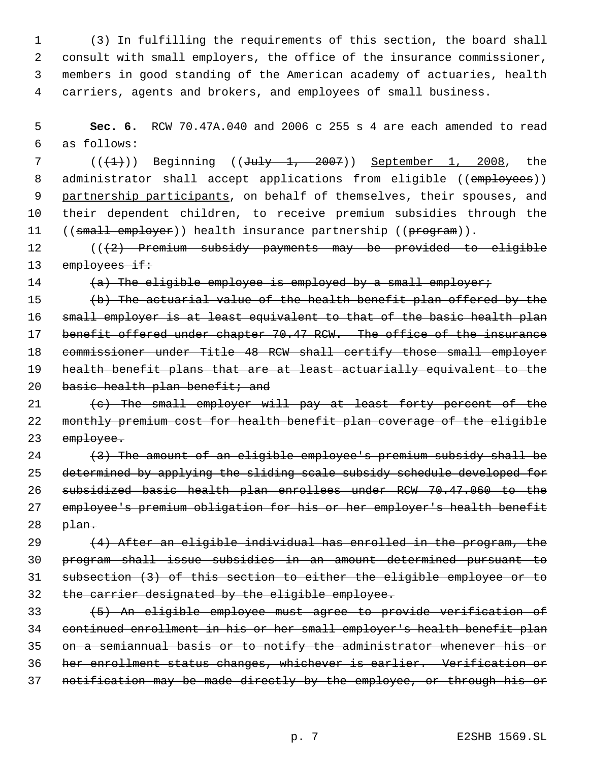(3) In fulfilling the requirements of this section, the board shall consult with small employers, the office of the insurance commissioner, members in good standing of the American academy of actuaries, health carriers, agents and brokers, and employees of small business.

 **Sec. 6.** RCW 70.47A.040 and 2006 c 255 s 4 are each amended to read as follows:

 $((+1))$  Beginning  $((\text{July} -1, -2007))$  September 1, 2008, the 8 administrator shall accept applications from eligible ((employees)) 9 partnership participants, on behalf of themselves, their spouses, and their dependent children, to receive premium subsidies through the 11 ((small employer)) health insurance partnership ((program)).

12 (((2) Premium subsidy payments may be provided to eligible 13 employees if:

14  $(a)$  The eligible employee is employed by a small employer;

 (b) The actuarial value of the health benefit plan offered by the 16 small employer is at least equivalent to that of the basic health plan 17 benefit offered under chapter 70.47 RCW. The office of the insurance commissioner under Title 48 RCW shall certify those small employer health benefit plans that are at least actuarially equivalent to the 20 basic health plan benefit; and

21 (c) The small employer will pay at least forty percent of the monthly premium cost for health benefit plan coverage of the eligible 23 employee.

  $(3)$  The amount of an eligible employee's premium subsidy shall be determined by applying the sliding scale subsidy schedule developed for subsidized basic health plan enrollees under RCW 70.47.060 to the employee's premium obligation for his or her employer's health benefit plan.

 $(4)$  After an eligible individual has enrolled in the program, the program shall issue subsidies in an amount determined pursuant to subsection (3) of this section to either the eligible employee or to the carrier designated by the eligible employee.

 (5) An eligible employee must agree to provide verification of continued enrollment in his or her small employer's health benefit plan on a semiannual basis or to notify the administrator whenever his or her enrollment status changes, whichever is earlier. Verification or notification may be made directly by the employee, or through his or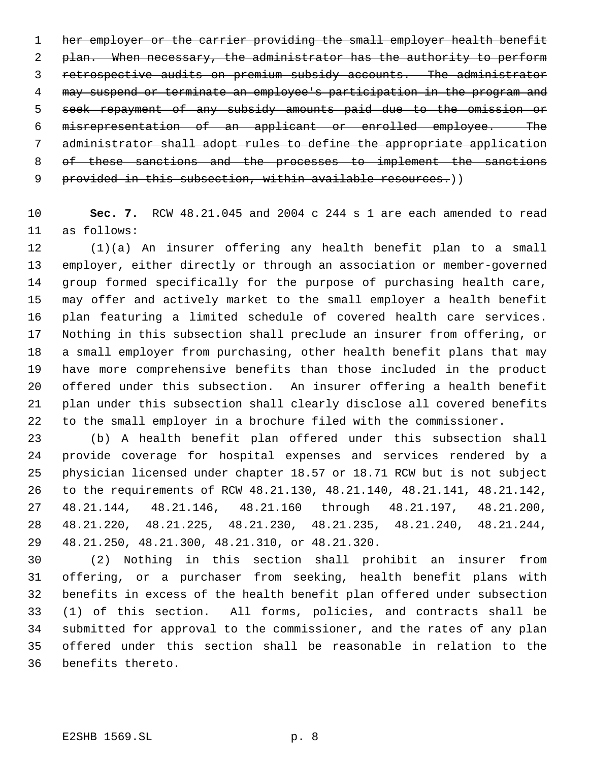1 her employer or the carrier providing the small employer health benefit 2 plan. When necessary, the administrator has the authority to perform retrospective audits on premium subsidy accounts. The administrator may suspend or terminate an employee's participation in the program and seek repayment of any subsidy amounts paid due to the omission or misrepresentation of an applicant or enrolled employee. The administrator shall adopt rules to define the appropriate application of these sanctions and the processes to implement the sanctions 9 provided in this subsection, within available resources.))

 **Sec. 7.** RCW 48.21.045 and 2004 c 244 s 1 are each amended to read as follows:

 (1)(a) An insurer offering any health benefit plan to a small employer, either directly or through an association or member-governed group formed specifically for the purpose of purchasing health care, may offer and actively market to the small employer a health benefit plan featuring a limited schedule of covered health care services. Nothing in this subsection shall preclude an insurer from offering, or a small employer from purchasing, other health benefit plans that may have more comprehensive benefits than those included in the product offered under this subsection. An insurer offering a health benefit plan under this subsection shall clearly disclose all covered benefits to the small employer in a brochure filed with the commissioner.

 (b) A health benefit plan offered under this subsection shall provide coverage for hospital expenses and services rendered by a physician licensed under chapter 18.57 or 18.71 RCW but is not subject to the requirements of RCW 48.21.130, 48.21.140, 48.21.141, 48.21.142, 48.21.144, 48.21.146, 48.21.160 through 48.21.197, 48.21.200, 48.21.220, 48.21.225, 48.21.230, 48.21.235, 48.21.240, 48.21.244, 48.21.250, 48.21.300, 48.21.310, or 48.21.320.

 (2) Nothing in this section shall prohibit an insurer from offering, or a purchaser from seeking, health benefit plans with benefits in excess of the health benefit plan offered under subsection (1) of this section. All forms, policies, and contracts shall be submitted for approval to the commissioner, and the rates of any plan offered under this section shall be reasonable in relation to the benefits thereto.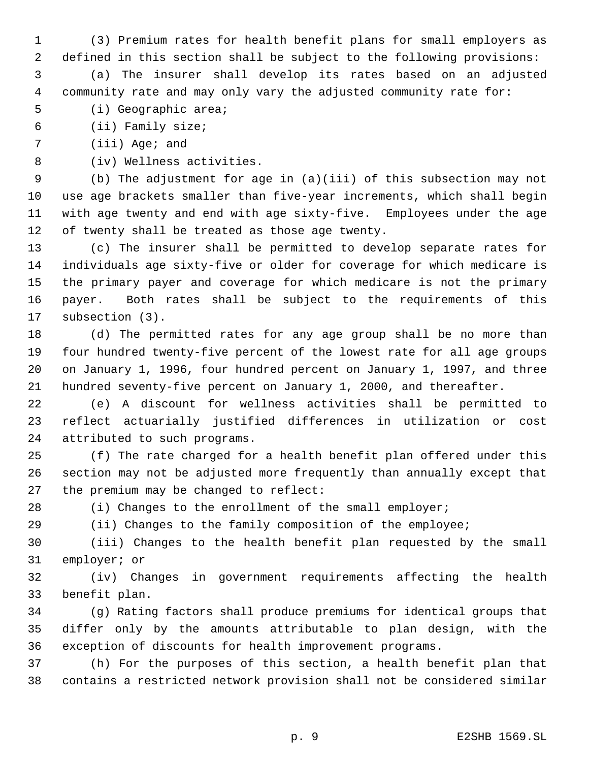- (3) Premium rates for health benefit plans for small employers as defined in this section shall be subject to the following provisions:
- (a) The insurer shall develop its rates based on an adjusted community rate and may only vary the adjusted community rate for:
- (i) Geographic area;
- (ii) Family size;
- (iii) Age; and
- (iv) Wellness activities.

 (b) The adjustment for age in (a)(iii) of this subsection may not use age brackets smaller than five-year increments, which shall begin with age twenty and end with age sixty-five. Employees under the age of twenty shall be treated as those age twenty.

 (c) The insurer shall be permitted to develop separate rates for individuals age sixty-five or older for coverage for which medicare is the primary payer and coverage for which medicare is not the primary payer. Both rates shall be subject to the requirements of this subsection (3).

 (d) The permitted rates for any age group shall be no more than four hundred twenty-five percent of the lowest rate for all age groups on January 1, 1996, four hundred percent on January 1, 1997, and three hundred seventy-five percent on January 1, 2000, and thereafter.

 (e) A discount for wellness activities shall be permitted to reflect actuarially justified differences in utilization or cost attributed to such programs.

 (f) The rate charged for a health benefit plan offered under this section may not be adjusted more frequently than annually except that the premium may be changed to reflect:

(i) Changes to the enrollment of the small employer;

(ii) Changes to the family composition of the employee;

 (iii) Changes to the health benefit plan requested by the small employer; or

 (iv) Changes in government requirements affecting the health benefit plan.

 (g) Rating factors shall produce premiums for identical groups that differ only by the amounts attributable to plan design, with the exception of discounts for health improvement programs.

 (h) For the purposes of this section, a health benefit plan that contains a restricted network provision shall not be considered similar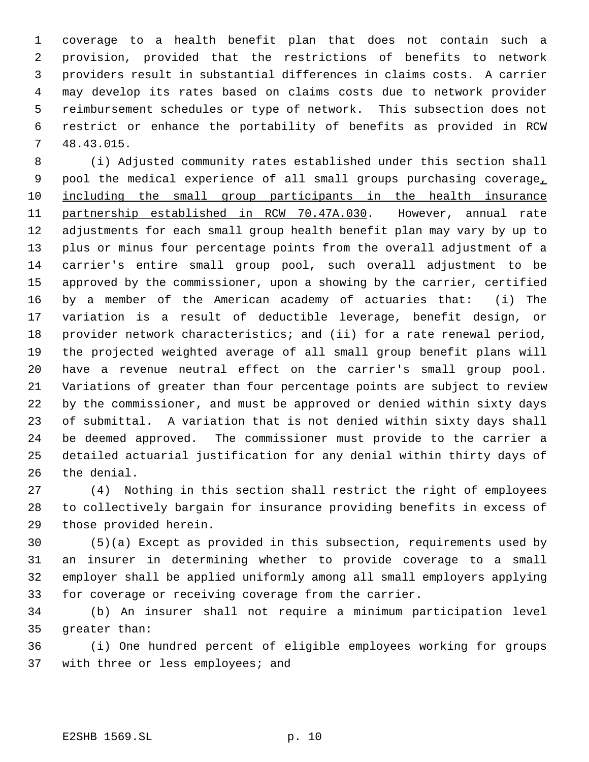coverage to a health benefit plan that does not contain such a provision, provided that the restrictions of benefits to network providers result in substantial differences in claims costs. A carrier may develop its rates based on claims costs due to network provider reimbursement schedules or type of network. This subsection does not restrict or enhance the portability of benefits as provided in RCW 48.43.015.

 (i) Adjusted community rates established under this section shall pool the medical experience of all small groups purchasing coverage, including the small group participants in the health insurance partnership established in RCW 70.47A.030. However, annual rate adjustments for each small group health benefit plan may vary by up to plus or minus four percentage points from the overall adjustment of a carrier's entire small group pool, such overall adjustment to be approved by the commissioner, upon a showing by the carrier, certified by a member of the American academy of actuaries that: (i) The variation is a result of deductible leverage, benefit design, or provider network characteristics; and (ii) for a rate renewal period, the projected weighted average of all small group benefit plans will have a revenue neutral effect on the carrier's small group pool. Variations of greater than four percentage points are subject to review by the commissioner, and must be approved or denied within sixty days of submittal. A variation that is not denied within sixty days shall be deemed approved. The commissioner must provide to the carrier a detailed actuarial justification for any denial within thirty days of the denial.

 (4) Nothing in this section shall restrict the right of employees to collectively bargain for insurance providing benefits in excess of those provided herein.

 (5)(a) Except as provided in this subsection, requirements used by an insurer in determining whether to provide coverage to a small employer shall be applied uniformly among all small employers applying for coverage or receiving coverage from the carrier.

 (b) An insurer shall not require a minimum participation level greater than:

 (i) One hundred percent of eligible employees working for groups 37 with three or less employees; and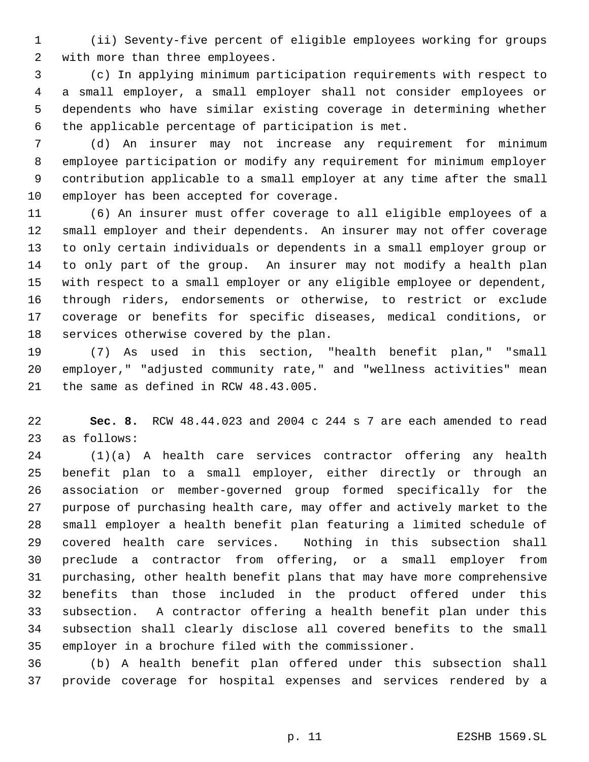(ii) Seventy-five percent of eligible employees working for groups with more than three employees.

 (c) In applying minimum participation requirements with respect to a small employer, a small employer shall not consider employees or dependents who have similar existing coverage in determining whether the applicable percentage of participation is met.

 (d) An insurer may not increase any requirement for minimum employee participation or modify any requirement for minimum employer contribution applicable to a small employer at any time after the small employer has been accepted for coverage.

 (6) An insurer must offer coverage to all eligible employees of a small employer and their dependents. An insurer may not offer coverage to only certain individuals or dependents in a small employer group or to only part of the group. An insurer may not modify a health plan with respect to a small employer or any eligible employee or dependent, through riders, endorsements or otherwise, to restrict or exclude coverage or benefits for specific diseases, medical conditions, or services otherwise covered by the plan.

 (7) As used in this section, "health benefit plan," "small employer," "adjusted community rate," and "wellness activities" mean the same as defined in RCW 48.43.005.

 **Sec. 8.** RCW 48.44.023 and 2004 c 244 s 7 are each amended to read as follows:

 (1)(a) A health care services contractor offering any health benefit plan to a small employer, either directly or through an association or member-governed group formed specifically for the purpose of purchasing health care, may offer and actively market to the small employer a health benefit plan featuring a limited schedule of covered health care services. Nothing in this subsection shall preclude a contractor from offering, or a small employer from purchasing, other health benefit plans that may have more comprehensive benefits than those included in the product offered under this subsection. A contractor offering a health benefit plan under this subsection shall clearly disclose all covered benefits to the small employer in a brochure filed with the commissioner.

 (b) A health benefit plan offered under this subsection shall provide coverage for hospital expenses and services rendered by a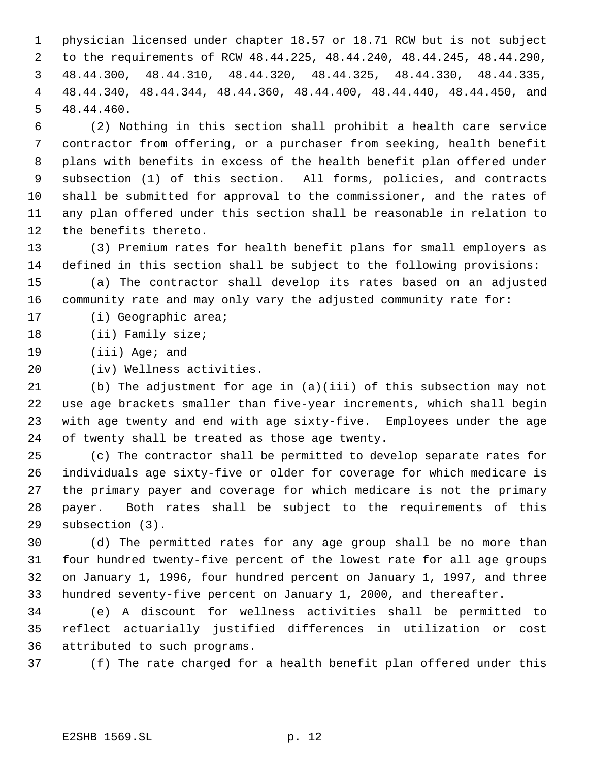physician licensed under chapter 18.57 or 18.71 RCW but is not subject to the requirements of RCW 48.44.225, 48.44.240, 48.44.245, 48.44.290, 48.44.300, 48.44.310, 48.44.320, 48.44.325, 48.44.330, 48.44.335, 48.44.340, 48.44.344, 48.44.360, 48.44.400, 48.44.440, 48.44.450, and 48.44.460.

 (2) Nothing in this section shall prohibit a health care service contractor from offering, or a purchaser from seeking, health benefit plans with benefits in excess of the health benefit plan offered under subsection (1) of this section. All forms, policies, and contracts shall be submitted for approval to the commissioner, and the rates of any plan offered under this section shall be reasonable in relation to the benefits thereto.

 (3) Premium rates for health benefit plans for small employers as defined in this section shall be subject to the following provisions:

 (a) The contractor shall develop its rates based on an adjusted community rate and may only vary the adjusted community rate for:

(i) Geographic area;

- (ii) Family size;
- (iii) Age; and
- (iv) Wellness activities.

 (b) The adjustment for age in (a)(iii) of this subsection may not use age brackets smaller than five-year increments, which shall begin with age twenty and end with age sixty-five. Employees under the age of twenty shall be treated as those age twenty.

 (c) The contractor shall be permitted to develop separate rates for individuals age sixty-five or older for coverage for which medicare is the primary payer and coverage for which medicare is not the primary payer. Both rates shall be subject to the requirements of this subsection (3).

 (d) The permitted rates for any age group shall be no more than four hundred twenty-five percent of the lowest rate for all age groups on January 1, 1996, four hundred percent on January 1, 1997, and three hundred seventy-five percent on January 1, 2000, and thereafter.

 (e) A discount for wellness activities shall be permitted to reflect actuarially justified differences in utilization or cost attributed to such programs.

(f) The rate charged for a health benefit plan offered under this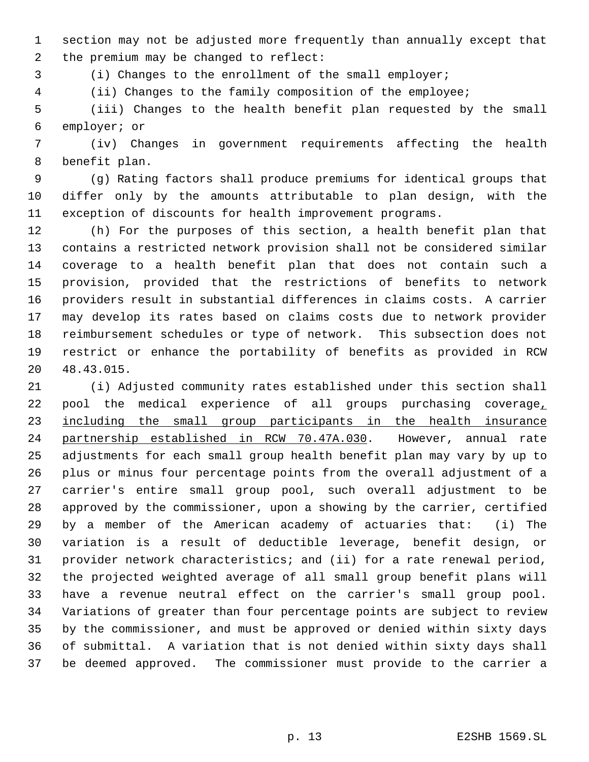section may not be adjusted more frequently than annually except that the premium may be changed to reflect:

(i) Changes to the enrollment of the small employer;

(ii) Changes to the family composition of the employee;

 (iii) Changes to the health benefit plan requested by the small employer; or

 (iv) Changes in government requirements affecting the health benefit plan.

 (g) Rating factors shall produce premiums for identical groups that differ only by the amounts attributable to plan design, with the exception of discounts for health improvement programs.

 (h) For the purposes of this section, a health benefit plan that contains a restricted network provision shall not be considered similar coverage to a health benefit plan that does not contain such a provision, provided that the restrictions of benefits to network providers result in substantial differences in claims costs. A carrier may develop its rates based on claims costs due to network provider reimbursement schedules or type of network. This subsection does not restrict or enhance the portability of benefits as provided in RCW 48.43.015.

 (i) Adjusted community rates established under this section shall pool the medical experience of all groups purchasing coverage, including the small group participants in the health insurance partnership established in RCW 70.47A.030. However, annual rate adjustments for each small group health benefit plan may vary by up to plus or minus four percentage points from the overall adjustment of a carrier's entire small group pool, such overall adjustment to be approved by the commissioner, upon a showing by the carrier, certified by a member of the American academy of actuaries that: (i) The variation is a result of deductible leverage, benefit design, or provider network characteristics; and (ii) for a rate renewal period, the projected weighted average of all small group benefit plans will have a revenue neutral effect on the carrier's small group pool. Variations of greater than four percentage points are subject to review by the commissioner, and must be approved or denied within sixty days of submittal. A variation that is not denied within sixty days shall be deemed approved. The commissioner must provide to the carrier a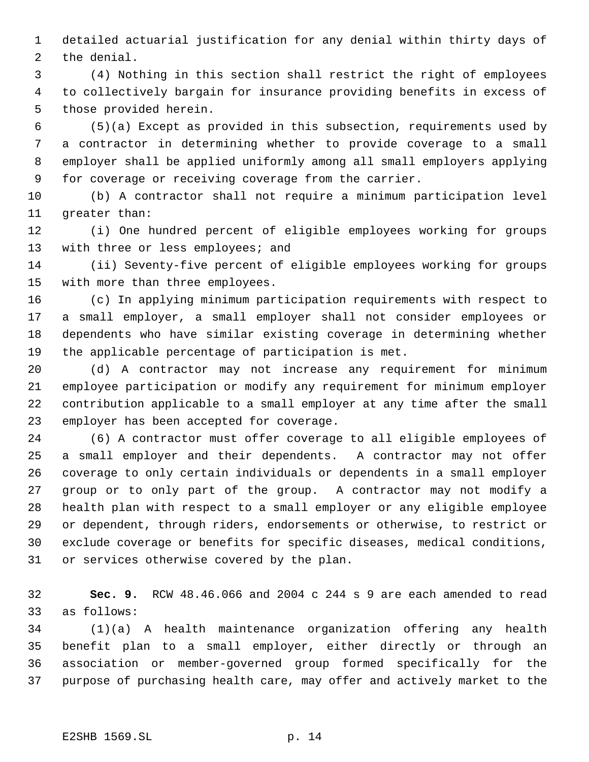detailed actuarial justification for any denial within thirty days of the denial.

 (4) Nothing in this section shall restrict the right of employees to collectively bargain for insurance providing benefits in excess of those provided herein.

 (5)(a) Except as provided in this subsection, requirements used by a contractor in determining whether to provide coverage to a small employer shall be applied uniformly among all small employers applying for coverage or receiving coverage from the carrier.

 (b) A contractor shall not require a minimum participation level greater than:

 (i) One hundred percent of eligible employees working for groups 13 with three or less employees; and

 (ii) Seventy-five percent of eligible employees working for groups with more than three employees.

 (c) In applying minimum participation requirements with respect to a small employer, a small employer shall not consider employees or dependents who have similar existing coverage in determining whether the applicable percentage of participation is met.

 (d) A contractor may not increase any requirement for minimum employee participation or modify any requirement for minimum employer contribution applicable to a small employer at any time after the small employer has been accepted for coverage.

 (6) A contractor must offer coverage to all eligible employees of a small employer and their dependents. A contractor may not offer coverage to only certain individuals or dependents in a small employer group or to only part of the group. A contractor may not modify a health plan with respect to a small employer or any eligible employee or dependent, through riders, endorsements or otherwise, to restrict or exclude coverage or benefits for specific diseases, medical conditions, or services otherwise covered by the plan.

 **Sec. 9.** RCW 48.46.066 and 2004 c 244 s 9 are each amended to read as follows:

 (1)(a) A health maintenance organization offering any health benefit plan to a small employer, either directly or through an association or member-governed group formed specifically for the purpose of purchasing health care, may offer and actively market to the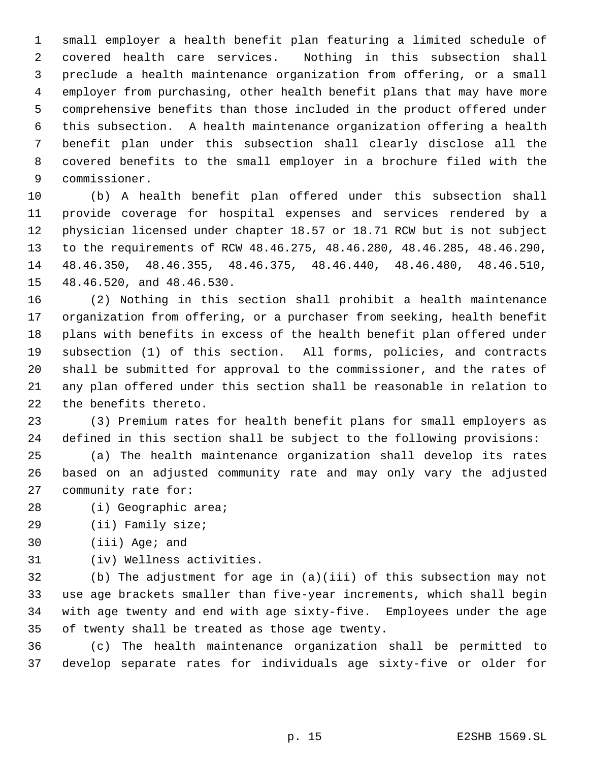small employer a health benefit plan featuring a limited schedule of covered health care services. Nothing in this subsection shall preclude a health maintenance organization from offering, or a small employer from purchasing, other health benefit plans that may have more comprehensive benefits than those included in the product offered under this subsection. A health maintenance organization offering a health benefit plan under this subsection shall clearly disclose all the covered benefits to the small employer in a brochure filed with the commissioner.

 (b) A health benefit plan offered under this subsection shall provide coverage for hospital expenses and services rendered by a physician licensed under chapter 18.57 or 18.71 RCW but is not subject to the requirements of RCW 48.46.275, 48.46.280, 48.46.285, 48.46.290, 48.46.350, 48.46.355, 48.46.375, 48.46.440, 48.46.480, 48.46.510, 48.46.520, and 48.46.530.

 (2) Nothing in this section shall prohibit a health maintenance organization from offering, or a purchaser from seeking, health benefit plans with benefits in excess of the health benefit plan offered under subsection (1) of this section. All forms, policies, and contracts shall be submitted for approval to the commissioner, and the rates of any plan offered under this section shall be reasonable in relation to the benefits thereto.

 (3) Premium rates for health benefit plans for small employers as defined in this section shall be subject to the following provisions:

 (a) The health maintenance organization shall develop its rates based on an adjusted community rate and may only vary the adjusted community rate for:

- (i) Geographic area;
- (ii) Family size;
- (iii) Age; and
- (iv) Wellness activities.

 (b) The adjustment for age in (a)(iii) of this subsection may not use age brackets smaller than five-year increments, which shall begin with age twenty and end with age sixty-five. Employees under the age of twenty shall be treated as those age twenty.

 (c) The health maintenance organization shall be permitted to develop separate rates for individuals age sixty-five or older for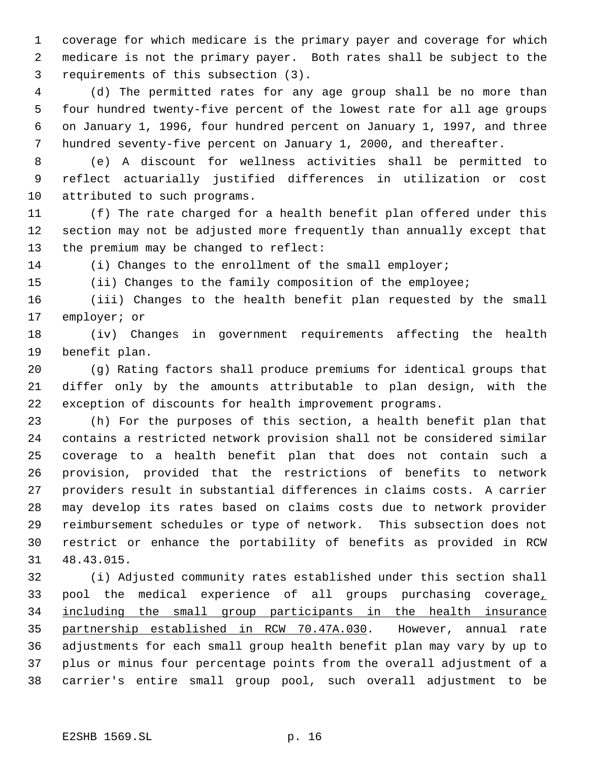coverage for which medicare is the primary payer and coverage for which medicare is not the primary payer. Both rates shall be subject to the requirements of this subsection (3).

 (d) The permitted rates for any age group shall be no more than four hundred twenty-five percent of the lowest rate for all age groups on January 1, 1996, four hundred percent on January 1, 1997, and three hundred seventy-five percent on January 1, 2000, and thereafter.

 (e) A discount for wellness activities shall be permitted to reflect actuarially justified differences in utilization or cost attributed to such programs.

 (f) The rate charged for a health benefit plan offered under this section may not be adjusted more frequently than annually except that the premium may be changed to reflect:

14 (i) Changes to the enrollment of the small employer;

(ii) Changes to the family composition of the employee;

 (iii) Changes to the health benefit plan requested by the small employer; or

 (iv) Changes in government requirements affecting the health benefit plan.

 (g) Rating factors shall produce premiums for identical groups that differ only by the amounts attributable to plan design, with the exception of discounts for health improvement programs.

 (h) For the purposes of this section, a health benefit plan that contains a restricted network provision shall not be considered similar coverage to a health benefit plan that does not contain such a provision, provided that the restrictions of benefits to network providers result in substantial differences in claims costs. A carrier may develop its rates based on claims costs due to network provider reimbursement schedules or type of network. This subsection does not restrict or enhance the portability of benefits as provided in RCW 48.43.015.

 (i) Adjusted community rates established under this section shall pool the medical experience of all groups purchasing coverage, including the small group participants in the health insurance partnership established in RCW 70.47A.030. However, annual rate adjustments for each small group health benefit plan may vary by up to plus or minus four percentage points from the overall adjustment of a carrier's entire small group pool, such overall adjustment to be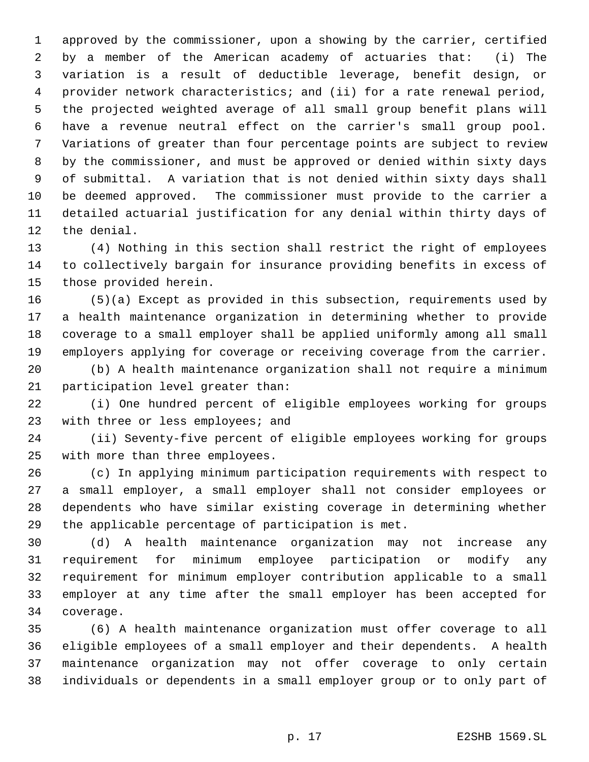approved by the commissioner, upon a showing by the carrier, certified by a member of the American academy of actuaries that: (i) The variation is a result of deductible leverage, benefit design, or provider network characteristics; and (ii) for a rate renewal period, the projected weighted average of all small group benefit plans will have a revenue neutral effect on the carrier's small group pool. Variations of greater than four percentage points are subject to review by the commissioner, and must be approved or denied within sixty days of submittal. A variation that is not denied within sixty days shall be deemed approved. The commissioner must provide to the carrier a detailed actuarial justification for any denial within thirty days of the denial.

 (4) Nothing in this section shall restrict the right of employees to collectively bargain for insurance providing benefits in excess of those provided herein.

 (5)(a) Except as provided in this subsection, requirements used by a health maintenance organization in determining whether to provide coverage to a small employer shall be applied uniformly among all small employers applying for coverage or receiving coverage from the carrier.

 (b) A health maintenance organization shall not require a minimum participation level greater than:

 (i) One hundred percent of eligible employees working for groups 23 with three or less employees; and

 (ii) Seventy-five percent of eligible employees working for groups with more than three employees.

 (c) In applying minimum participation requirements with respect to a small employer, a small employer shall not consider employees or dependents who have similar existing coverage in determining whether the applicable percentage of participation is met.

 (d) A health maintenance organization may not increase any requirement for minimum employee participation or modify any requirement for minimum employer contribution applicable to a small employer at any time after the small employer has been accepted for coverage.

 (6) A health maintenance organization must offer coverage to all eligible employees of a small employer and their dependents. A health maintenance organization may not offer coverage to only certain individuals or dependents in a small employer group or to only part of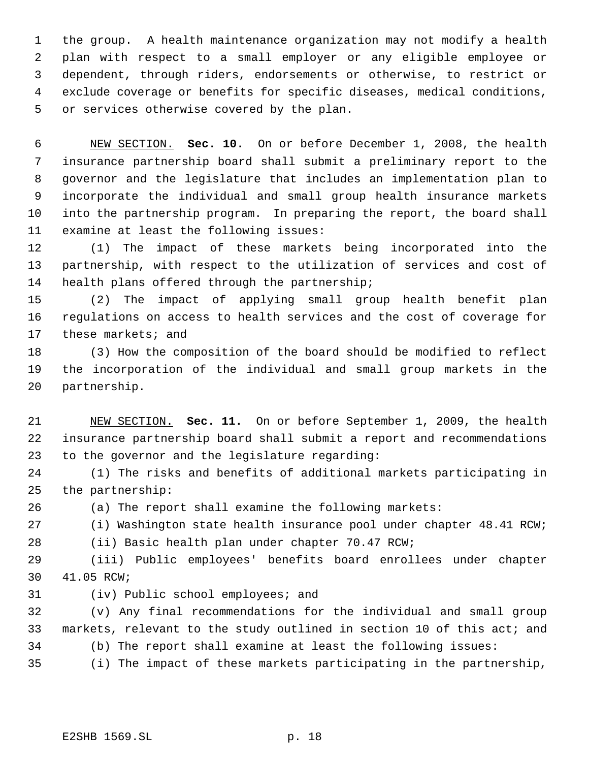the group. A health maintenance organization may not modify a health plan with respect to a small employer or any eligible employee or dependent, through riders, endorsements or otherwise, to restrict or exclude coverage or benefits for specific diseases, medical conditions, or services otherwise covered by the plan.

 NEW SECTION. **Sec. 10.** On or before December 1, 2008, the health insurance partnership board shall submit a preliminary report to the governor and the legislature that includes an implementation plan to incorporate the individual and small group health insurance markets into the partnership program. In preparing the report, the board shall examine at least the following issues:

 (1) The impact of these markets being incorporated into the partnership, with respect to the utilization of services and cost of health plans offered through the partnership;

 (2) The impact of applying small group health benefit plan regulations on access to health services and the cost of coverage for 17 these markets; and

 (3) How the composition of the board should be modified to reflect the incorporation of the individual and small group markets in the partnership.

 NEW SECTION. **Sec. 11.** On or before September 1, 2009, the health insurance partnership board shall submit a report and recommendations to the governor and the legislature regarding:

 (1) The risks and benefits of additional markets participating in the partnership:

(a) The report shall examine the following markets:

(i) Washington state health insurance pool under chapter 48.41 RCW;

(ii) Basic health plan under chapter 70.47 RCW;

 (iii) Public employees' benefits board enrollees under chapter 41.05 RCW;

(iv) Public school employees; and

 (v) Any final recommendations for the individual and small group markets, relevant to the study outlined in section 10 of this act; and (b) The report shall examine at least the following issues:

(i) The impact of these markets participating in the partnership,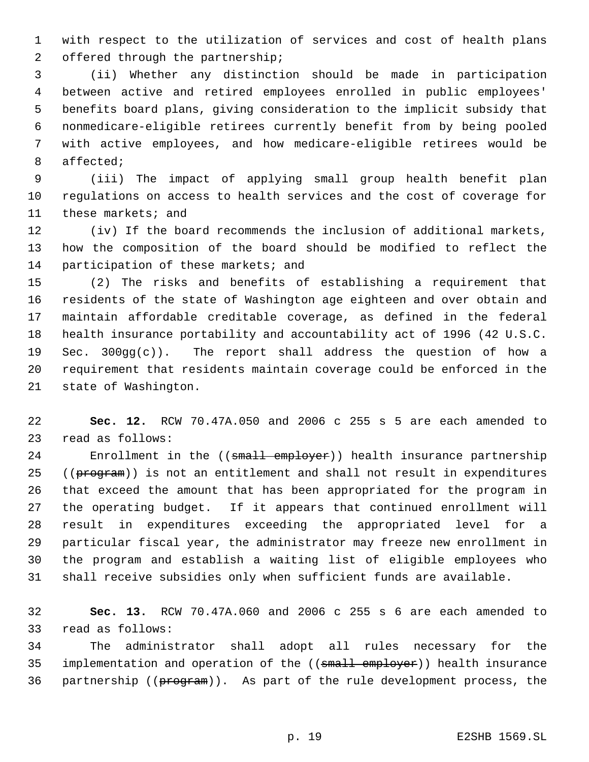with respect to the utilization of services and cost of health plans offered through the partnership;

 (ii) Whether any distinction should be made in participation between active and retired employees enrolled in public employees' benefits board plans, giving consideration to the implicit subsidy that nonmedicare-eligible retirees currently benefit from by being pooled with active employees, and how medicare-eligible retirees would be affected;

 (iii) The impact of applying small group health benefit plan regulations on access to health services and the cost of coverage for these markets; and

 (iv) If the board recommends the inclusion of additional markets, how the composition of the board should be modified to reflect the 14 participation of these markets; and

 (2) The risks and benefits of establishing a requirement that residents of the state of Washington age eighteen and over obtain and maintain affordable creditable coverage, as defined in the federal health insurance portability and accountability act of 1996 (42 U.S.C. Sec. 300gg(c)). The report shall address the question of how a requirement that residents maintain coverage could be enforced in the state of Washington.

 **Sec. 12.** RCW 70.47A.050 and 2006 c 255 s 5 are each amended to read as follows:

24 Enrollment in the ((small employer)) health insurance partnership 25 ((program)) is not an entitlement and shall not result in expenditures that exceed the amount that has been appropriated for the program in the operating budget. If it appears that continued enrollment will result in expenditures exceeding the appropriated level for a particular fiscal year, the administrator may freeze new enrollment in the program and establish a waiting list of eligible employees who shall receive subsidies only when sufficient funds are available.

 **Sec. 13.** RCW 70.47A.060 and 2006 c 255 s 6 are each amended to read as follows:

 The administrator shall adopt all rules necessary for the 35 implementation and operation of the (( $\frac{1}{3}$  employer)) health insurance 36 partnership (( $\frac{1}{P}$ ). As part of the rule development process, the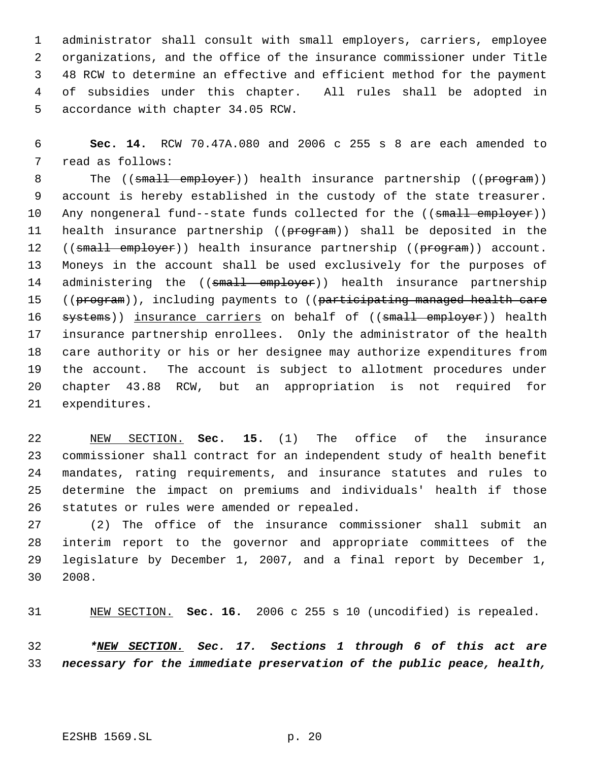administrator shall consult with small employers, carriers, employee organizations, and the office of the insurance commissioner under Title 48 RCW to determine an effective and efficient method for the payment of subsidies under this chapter. All rules shall be adopted in accordance with chapter 34.05 RCW.

 **Sec. 14.** RCW 70.47A.080 and 2006 c 255 s 8 are each amended to read as follows:

8 The ((small employer)) health insurance partnership ((program)) account is hereby established in the custody of the state treasurer. 10 Any nongeneral fund--state funds collected for the ((small employer)) 11 health insurance partnership ((program)) shall be deposited in the 12 ((small employer)) health insurance partnership ((program)) account. Moneys in the account shall be used exclusively for the purposes of 14 administering the ((small employer)) health insurance partnership 15 ((program)), including payments to ((participating managed health care 16 systems)) insurance carriers on behalf of ((small employer)) health insurance partnership enrollees. Only the administrator of the health care authority or his or her designee may authorize expenditures from the account. The account is subject to allotment procedures under chapter 43.88 RCW, but an appropriation is not required for expenditures.

 NEW SECTION. **Sec. 15.** (1) The office of the insurance commissioner shall contract for an independent study of health benefit mandates, rating requirements, and insurance statutes and rules to determine the impact on premiums and individuals' health if those statutes or rules were amended or repealed.

 (2) The office of the insurance commissioner shall submit an interim report to the governor and appropriate committees of the legislature by December 1, 2007, and a final report by December 1, 2008.

NEW SECTION. **Sec. 16.** 2006 c 255 s 10 (uncodified) is repealed.

 *\*NEW SECTION. Sec. 17. Sections 1 through 6 of this act are necessary for the immediate preservation of the public peace, health,*